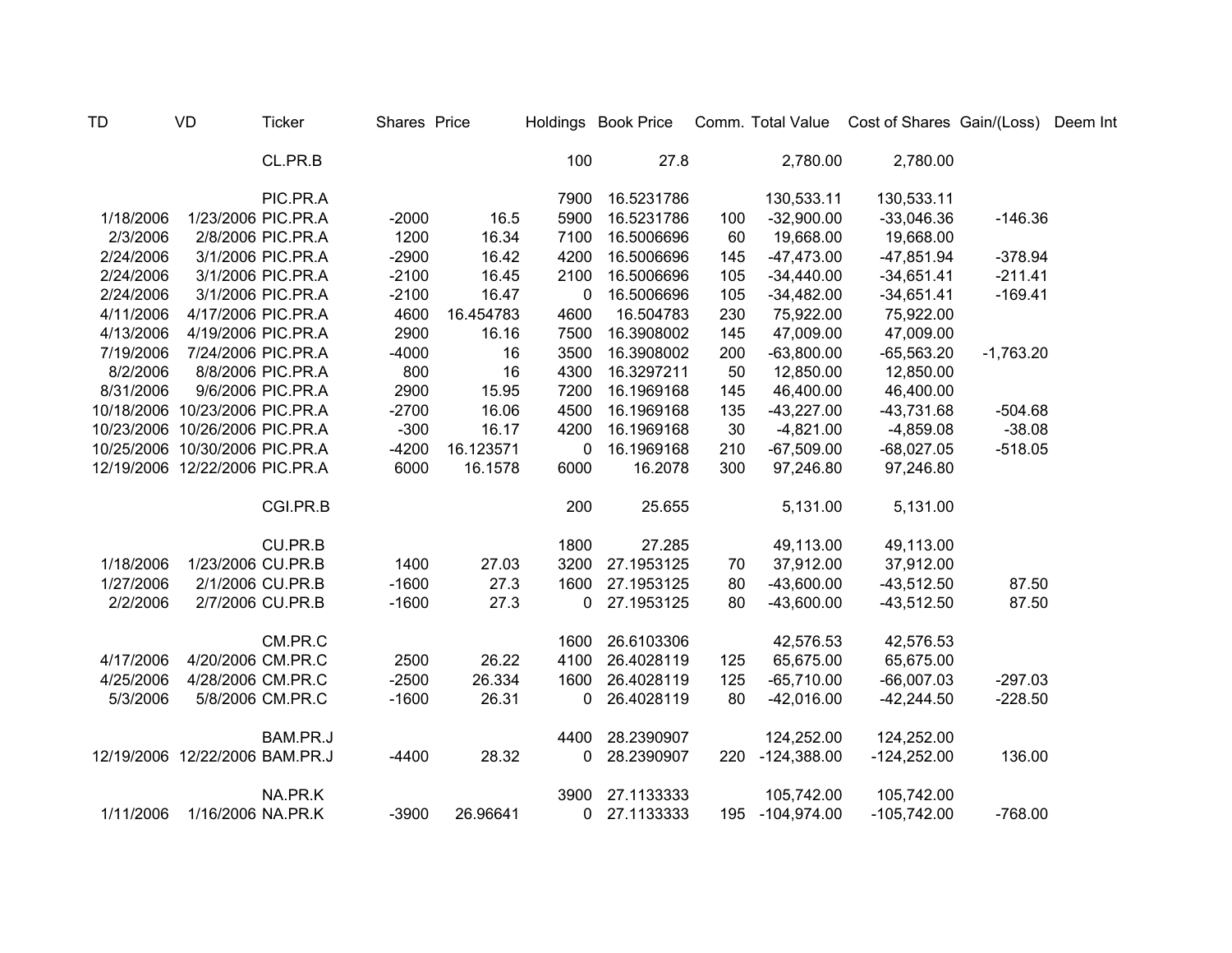| TD        | VD                             | <b>Ticker</b>      | Shares Price |           |              | Holdings Book Price |     |                 | Comm. Total Value Cost of Shares Gain/(Loss) |             | Deem Int |
|-----------|--------------------------------|--------------------|--------------|-----------|--------------|---------------------|-----|-----------------|----------------------------------------------|-------------|----------|
|           |                                | CL.PR.B            |              |           | 100          | 27.8                |     | 2,780.00        | 2,780.00                                     |             |          |
|           |                                | PIC.PR.A           |              |           | 7900         | 16.5231786          |     | 130,533.11      | 130,533.11                                   |             |          |
| 1/18/2006 |                                | 1/23/2006 PIC.PR.A | $-2000$      | 16.5      | 5900         | 16.5231786          | 100 | $-32,900.00$    | $-33,046.36$                                 | $-146.36$   |          |
| 2/3/2006  |                                | 2/8/2006 PIC.PR.A  | 1200         | 16.34     | 7100         | 16.5006696          | 60  | 19,668.00       | 19,668.00                                    |             |          |
| 2/24/2006 |                                | 3/1/2006 PIC.PR.A  | $-2900$      | 16.42     | 4200         | 16.5006696          | 145 | $-47,473.00$    | $-47,851.94$                                 | $-378.94$   |          |
| 2/24/2006 |                                | 3/1/2006 PIC.PR.A  | $-2100$      | 16.45     | 2100         | 16.5006696          | 105 | $-34,440.00$    | $-34,651.41$                                 | $-211.41$   |          |
| 2/24/2006 |                                | 3/1/2006 PIC.PR.A  | $-2100$      | 16.47     | 0            | 16.5006696          | 105 | $-34,482.00$    | $-34,651.41$                                 | $-169.41$   |          |
| 4/11/2006 |                                | 4/17/2006 PIC.PR.A | 4600         | 16.454783 | 4600         | 16.504783           | 230 | 75,922.00       | 75,922.00                                    |             |          |
| 4/13/2006 |                                | 4/19/2006 PIC.PR.A | 2900         | 16.16     | 7500         | 16.3908002          | 145 | 47,009.00       | 47,009.00                                    |             |          |
| 7/19/2006 |                                | 7/24/2006 PIC.PR.A | $-4000$      | 16        | 3500         | 16.3908002          | 200 | $-63,800.00$    | $-65,563.20$                                 | $-1,763.20$ |          |
| 8/2/2006  |                                | 8/8/2006 PIC.PR.A  | 800          | 16        | 4300         | 16.3297211          | 50  | 12,850.00       | 12,850.00                                    |             |          |
| 8/31/2006 |                                | 9/6/2006 PIC.PR.A  | 2900         | 15.95     | 7200         | 16.1969168          | 145 | 46,400.00       | 46,400.00                                    |             |          |
|           | 10/18/2006 10/23/2006 PIC.PR.A |                    | $-2700$      | 16.06     | 4500         | 16.1969168          | 135 | $-43,227.00$    | $-43,731.68$                                 | $-504.68$   |          |
|           | 10/23/2006 10/26/2006 PIC.PR.A |                    | $-300$       | 16.17     | 4200         | 16.1969168          | 30  | $-4,821.00$     | $-4,859.08$                                  | $-38.08$    |          |
|           | 10/25/2006 10/30/2006 PIC.PR.A |                    | $-4200$      | 16.123571 | 0            | 16.1969168          | 210 | $-67,509.00$    | $-68,027.05$                                 | $-518.05$   |          |
|           | 12/19/2006 12/22/2006 PIC.PR.A |                    | 6000         | 16.1578   | 6000         | 16.2078             | 300 | 97,246.80       | 97,246.80                                    |             |          |
|           |                                | CGI.PR.B           |              |           | 200          | 25.655              |     | 5,131.00        | 5,131.00                                     |             |          |
|           |                                | CU.PR.B            |              |           | 1800         | 27.285              |     | 49,113.00       | 49,113.00                                    |             |          |
| 1/18/2006 | 1/23/2006 CU.PR.B              |                    | 1400         | 27.03     | 3200         | 27.1953125          | 70  | 37,912.00       | 37,912.00                                    |             |          |
| 1/27/2006 |                                | 2/1/2006 CU.PR.B   | $-1600$      | 27.3      | 1600         | 27.1953125          | 80  | $-43,600.00$    | $-43,512.50$                                 | 87.50       |          |
| 2/2/2006  |                                | 2/7/2006 CU.PR.B   | $-1600$      | 27.3      | 0            | 27.1953125          | 80  | $-43,600.00$    | $-43,512.50$                                 | 87.50       |          |
|           |                                | CM.PR.C            |              |           | 1600         | 26.6103306          |     | 42,576.53       | 42,576.53                                    |             |          |
| 4/17/2006 | 4/20/2006 CM.PR.C              |                    | 2500         | 26.22     | 4100         | 26.4028119          | 125 | 65,675.00       | 65,675.00                                    |             |          |
| 4/25/2006 | 4/28/2006 CM.PR.C              |                    | $-2500$      | 26.334    | 1600         | 26.4028119          | 125 | $-65,710.00$    | $-66,007.03$                                 | $-297.03$   |          |
| 5/3/2006  |                                | 5/8/2006 CM.PR.C   | $-1600$      | 26.31     | 0            | 26.4028119          | 80  | $-42,016.00$    | $-42,244.50$                                 | $-228.50$   |          |
|           |                                | BAM.PR.J           |              |           | 4400         | 28.2390907          |     | 124,252.00      | 124,252.00                                   |             |          |
|           | 12/19/2006 12/22/2006 BAM.PR.J |                    | $-4400$      | 28.32     | 0            | 28.2390907          | 220 | $-124,388.00$   | $-124,252.00$                                | 136.00      |          |
|           |                                | NA.PR.K            |              |           | 3900         | 27.1133333          |     | 105,742.00      | 105,742.00                                   |             |          |
| 1/11/2006 | 1/16/2006 NA.PR.K              |                    | $-3900$      | 26.96641  | $\mathbf{0}$ | 27.1133333          |     | 195 -104,974.00 | $-105,742.00$                                | $-768.00$   |          |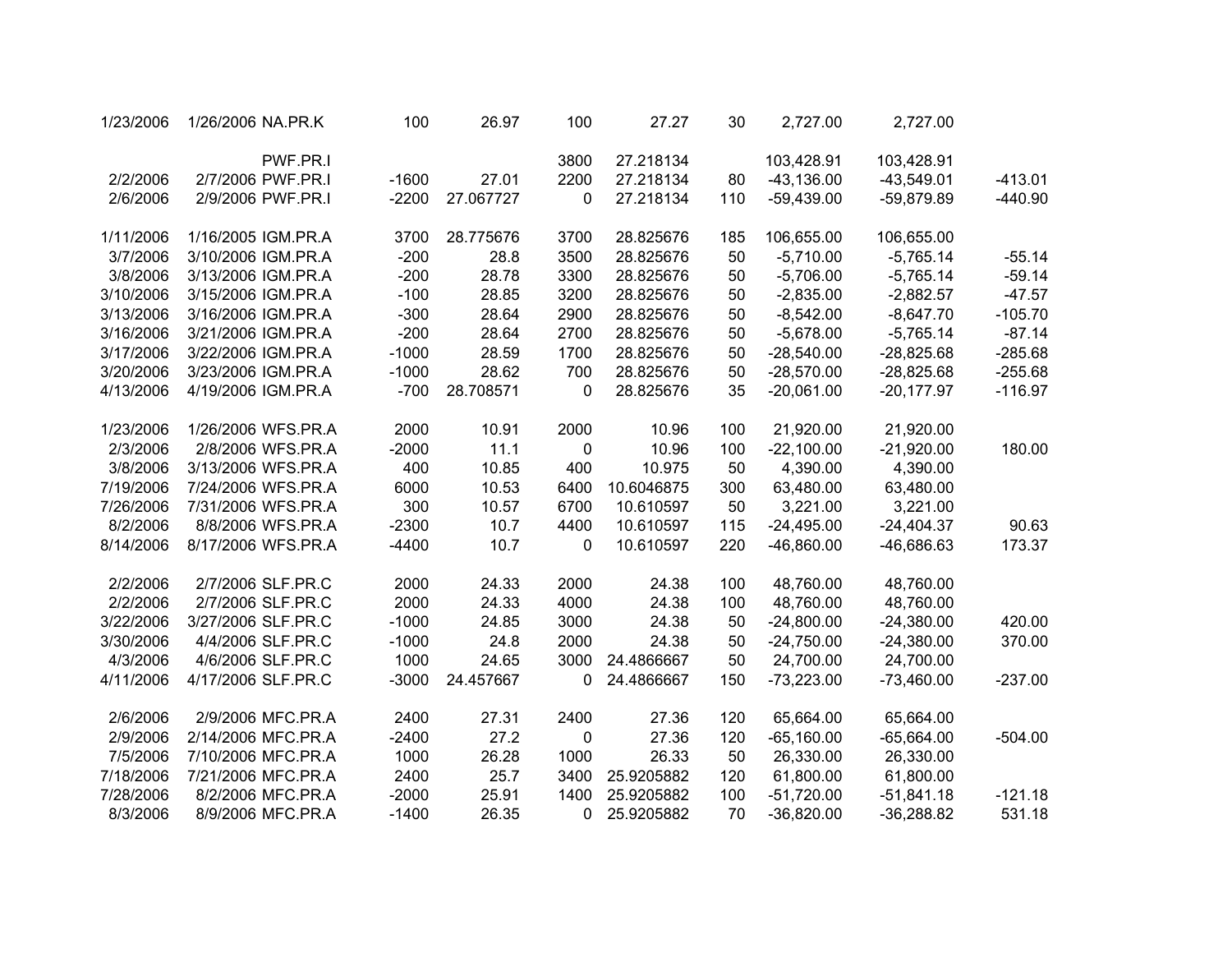| 1/23/2006 | 1/26/2006 NA.PR.K  | 100     | 26.97     | 100         | 27.27      | 30  | 2,727.00     | 2,727.00     |           |
|-----------|--------------------|---------|-----------|-------------|------------|-----|--------------|--------------|-----------|
|           | PWF.PR.I           |         |           | 3800        | 27.218134  |     | 103,428.91   | 103,428.91   |           |
| 2/2/2006  | 2/7/2006 PWF.PR.I  | $-1600$ | 27.01     | 2200        | 27.218134  | 80  | $-43,136.00$ | $-43,549.01$ | $-413.01$ |
| 2/6/2006  | 2/9/2006 PWF.PR.I  | $-2200$ | 27.067727 | 0           | 27.218134  | 110 | $-59,439.00$ | $-59,879.89$ | $-440.90$ |
| 1/11/2006 | 1/16/2005 IGM.PR.A | 3700    | 28.775676 | 3700        | 28.825676  | 185 | 106,655.00   | 106,655.00   |           |
| 3/7/2006  | 3/10/2006 IGM.PR.A | $-200$  | 28.8      | 3500        | 28.825676  | 50  | $-5,710.00$  | $-5,765.14$  | $-55.14$  |
| 3/8/2006  | 3/13/2006 IGM.PR.A | $-200$  | 28.78     | 3300        | 28.825676  | 50  | $-5,706.00$  | $-5,765.14$  | $-59.14$  |
| 3/10/2006 | 3/15/2006 IGM.PR.A | $-100$  | 28.85     | 3200        | 28.825676  | 50  | $-2,835.00$  | $-2,882.57$  | $-47.57$  |
| 3/13/2006 | 3/16/2006 IGM.PR.A | $-300$  | 28.64     | 2900        | 28.825676  | 50  | $-8,542.00$  | $-8,647.70$  | $-105.70$ |
| 3/16/2006 | 3/21/2006 IGM.PR.A | $-200$  | 28.64     | 2700        | 28.825676  | 50  | $-5,678.00$  | $-5,765.14$  | $-87.14$  |
| 3/17/2006 | 3/22/2006 IGM.PR.A | $-1000$ | 28.59     | 1700        | 28.825676  | 50  | $-28,540.00$ | $-28,825.68$ | $-285.68$ |
| 3/20/2006 | 3/23/2006 IGM.PR.A | $-1000$ | 28.62     | 700         | 28.825676  | 50  | $-28,570.00$ | $-28,825.68$ | $-255.68$ |
| 4/13/2006 | 4/19/2006 IGM.PR.A | $-700$  | 28.708571 | 0           | 28.825676  | 35  | $-20,061.00$ | $-20,177.97$ | $-116.97$ |
| 1/23/2006 | 1/26/2006 WFS.PR.A | 2000    | 10.91     | 2000        | 10.96      | 100 | 21,920.00    | 21,920.00    |           |
| 2/3/2006  | 2/8/2006 WFS.PR.A  | $-2000$ | 11.1      | 0           | 10.96      | 100 | $-22,100.00$ | $-21,920.00$ | 180.00    |
| 3/8/2006  | 3/13/2006 WFS.PR.A | 400     | 10.85     | 400         | 10.975     | 50  | 4,390.00     | 4,390.00     |           |
| 7/19/2006 | 7/24/2006 WFS.PR.A | 6000    | 10.53     | 6400        | 10.6046875 | 300 | 63,480.00    | 63,480.00    |           |
| 7/26/2006 | 7/31/2006 WFS.PR.A | 300     | 10.57     | 6700        | 10.610597  | 50  | 3,221.00     | 3,221.00     |           |
| 8/2/2006  | 8/8/2006 WFS.PR.A  | $-2300$ | 10.7      | 4400        | 10.610597  | 115 | $-24,495.00$ | $-24,404.37$ | 90.63     |
| 8/14/2006 | 8/17/2006 WFS.PR.A | $-4400$ | 10.7      | 0           | 10.610597  | 220 | $-46,860.00$ | $-46,686.63$ | 173.37    |
| 2/2/2006  | 2/7/2006 SLF.PR.C  | 2000    | 24.33     | 2000        | 24.38      | 100 | 48,760.00    | 48,760.00    |           |
| 2/2/2006  | 2/7/2006 SLF.PR.C  | 2000    | 24.33     | 4000        | 24.38      | 100 | 48,760.00    | 48,760.00    |           |
| 3/22/2006 | 3/27/2006 SLF.PR.C | $-1000$ | 24.85     | 3000        | 24.38      | 50  | $-24,800.00$ | $-24,380.00$ | 420.00    |
| 3/30/2006 | 4/4/2006 SLF.PR.C  | $-1000$ | 24.8      | 2000        | 24.38      | 50  | $-24,750.00$ | $-24,380.00$ | 370.00    |
| 4/3/2006  | 4/6/2006 SLF.PR.C  | 1000    | 24.65     | 3000        | 24.4866667 | 50  | 24,700.00    | 24,700.00    |           |
| 4/11/2006 | 4/17/2006 SLF.PR.C | $-3000$ | 24.457667 | 0           | 24.4866667 | 150 | $-73,223.00$ | $-73,460.00$ | $-237.00$ |
| 2/6/2006  | 2/9/2006 MFC.PR.A  | 2400    | 27.31     | 2400        | 27.36      | 120 | 65,664.00    | 65,664.00    |           |
| 2/9/2006  | 2/14/2006 MFC.PR.A | $-2400$ | 27.2      | $\mathbf 0$ | 27.36      | 120 | $-65,160.00$ | $-65,664.00$ | $-504.00$ |
| 7/5/2006  | 7/10/2006 MFC.PR.A | 1000    | 26.28     | 1000        | 26.33      | 50  | 26,330.00    | 26,330.00    |           |
| 7/18/2006 | 7/21/2006 MFC.PR.A | 2400    | 25.7      | 3400        | 25.9205882 | 120 | 61,800.00    | 61,800.00    |           |
| 7/28/2006 | 8/2/2006 MFC.PR.A  | $-2000$ | 25.91     | 1400        | 25.9205882 | 100 | $-51,720.00$ | $-51,841.18$ | $-121.18$ |
| 8/3/2006  | 8/9/2006 MFC.PR.A  | $-1400$ | 26.35     | 0           | 25.9205882 | 70  | $-36,820.00$ | $-36,288.82$ | 531.18    |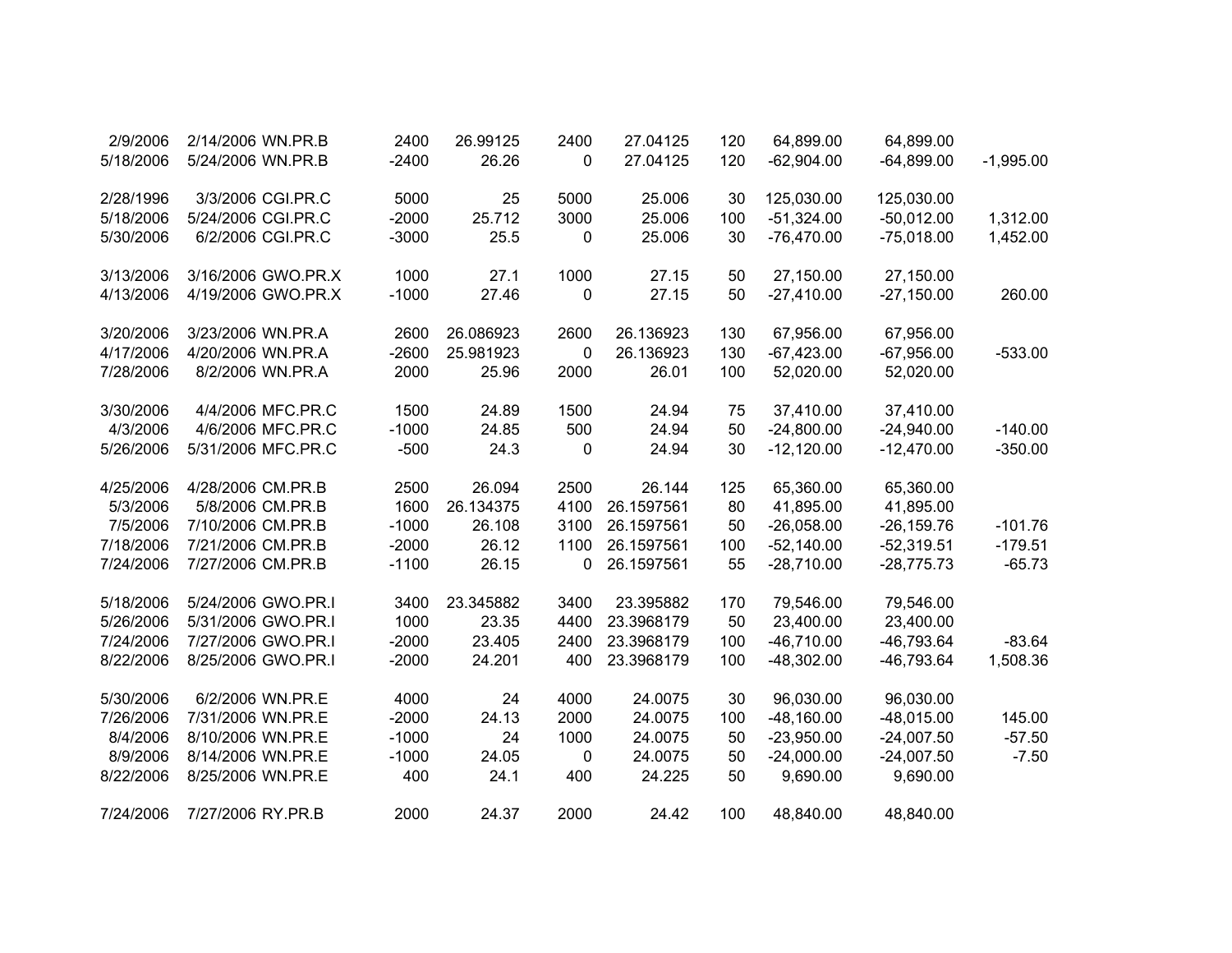| 2/9/2006  | 2/14/2006 WN.PR.B  | 2400    | 26.99125  | 2400 | 27.04125   | 120 | 64,899.00    | 64,899.00     |             |
|-----------|--------------------|---------|-----------|------|------------|-----|--------------|---------------|-------------|
| 5/18/2006 | 5/24/2006 WN.PR.B  | $-2400$ | 26.26     | 0    | 27.04125   | 120 | $-62,904.00$ | $-64,899.00$  | $-1,995.00$ |
|           |                    |         |           |      |            |     |              |               |             |
| 2/28/1996 | 3/3/2006 CGI.PR.C  | 5000    | 25        | 5000 | 25.006     | 30  | 125,030.00   | 125,030.00    |             |
| 5/18/2006 | 5/24/2006 CGI.PR.C | $-2000$ | 25.712    | 3000 | 25.006     | 100 | $-51,324.00$ | $-50,012.00$  | 1,312.00    |
| 5/30/2006 | 6/2/2006 CGI.PR.C  | $-3000$ | 25.5      | 0    | 25.006     | 30  | $-76,470.00$ | $-75,018.00$  | 1,452.00    |
| 3/13/2006 | 3/16/2006 GWO.PR.X | 1000    | 27.1      | 1000 | 27.15      | 50  | 27,150.00    | 27,150.00     |             |
| 4/13/2006 | 4/19/2006 GWO.PR.X | $-1000$ | 27.46     | 0    | 27.15      | 50  | $-27,410.00$ | $-27,150.00$  | 260.00      |
| 3/20/2006 | 3/23/2006 WN.PR.A  | 2600    | 26.086923 | 2600 | 26.136923  | 130 | 67,956.00    | 67,956.00     |             |
| 4/17/2006 | 4/20/2006 WN.PR.A  | $-2600$ | 25.981923 | 0    | 26.136923  | 130 | $-67,423.00$ | $-67,956.00$  | $-533.00$   |
| 7/28/2006 | 8/2/2006 WN.PR.A   | 2000    | 25.96     | 2000 | 26.01      | 100 | 52,020.00    | 52,020.00     |             |
| 3/30/2006 | 4/4/2006 MFC.PR.C  | 1500    | 24.89     | 1500 | 24.94      | 75  | 37,410.00    | 37,410.00     |             |
| 4/3/2006  | 4/6/2006 MFC.PR.C  | $-1000$ | 24.85     | 500  | 24.94      | 50  | $-24,800.00$ | $-24,940.00$  | $-140.00$   |
| 5/26/2006 | 5/31/2006 MFC.PR.C | $-500$  | 24.3      | 0    | 24.94      | 30  | $-12,120.00$ | $-12,470.00$  | $-350.00$   |
| 4/25/2006 | 4/28/2006 CM.PR.B  | 2500    | 26.094    | 2500 | 26.144     | 125 | 65,360.00    | 65,360.00     |             |
| 5/3/2006  | 5/8/2006 CM.PR.B   | 1600    | 26.134375 | 4100 | 26.1597561 | 80  | 41,895.00    | 41,895.00     |             |
| 7/5/2006  | 7/10/2006 CM.PR.B  | $-1000$ | 26.108    | 3100 | 26.1597561 | 50  | $-26,058.00$ | $-26, 159.76$ | $-101.76$   |
| 7/18/2006 | 7/21/2006 CM.PR.B  | $-2000$ | 26.12     | 1100 | 26.1597561 | 100 | $-52,140.00$ | $-52,319.51$  | $-179.51$   |
| 7/24/2006 | 7/27/2006 CM.PR.B  | $-1100$ | 26.15     | 0    | 26.1597561 | 55  | $-28,710.00$ | $-28,775.73$  | $-65.73$    |
| 5/18/2006 | 5/24/2006 GWO.PR.I | 3400    | 23.345882 | 3400 | 23.395882  | 170 | 79,546.00    | 79,546.00     |             |
| 5/26/2006 | 5/31/2006 GWO.PR.I | 1000    | 23.35     | 4400 | 23.3968179 | 50  | 23,400.00    | 23,400.00     |             |
| 7/24/2006 | 7/27/2006 GWO.PR.I | $-2000$ | 23.405    | 2400 | 23.3968179 | 100 | $-46,710.00$ | $-46,793.64$  | $-83.64$    |
| 8/22/2006 | 8/25/2006 GWO.PR.I | $-2000$ | 24.201    | 400  | 23.3968179 | 100 | $-48,302.00$ | -46,793.64    | 1,508.36    |
| 5/30/2006 | 6/2/2006 WN.PR.E   | 4000    | 24        | 4000 | 24.0075    | 30  | 96,030.00    | 96,030.00     |             |
| 7/26/2006 | 7/31/2006 WN.PR.E  | $-2000$ | 24.13     | 2000 | 24.0075    | 100 | $-48,160.00$ | $-48,015.00$  | 145.00      |
| 8/4/2006  | 8/10/2006 WN.PR.E  | $-1000$ | 24        | 1000 | 24.0075    | 50  | $-23,950.00$ | $-24,007.50$  | $-57.50$    |
| 8/9/2006  | 8/14/2006 WN.PR.E  | $-1000$ | 24.05     | 0    | 24.0075    | 50  | $-24,000.00$ | $-24,007.50$  | $-7.50$     |
| 8/22/2006 | 8/25/2006 WN.PR.E  | 400     | 24.1      | 400  | 24.225     | 50  | 9,690.00     | 9,690.00      |             |
| 7/24/2006 | 7/27/2006 RY.PR.B  | 2000    | 24.37     | 2000 | 24.42      | 100 | 48,840.00    | 48,840.00     |             |